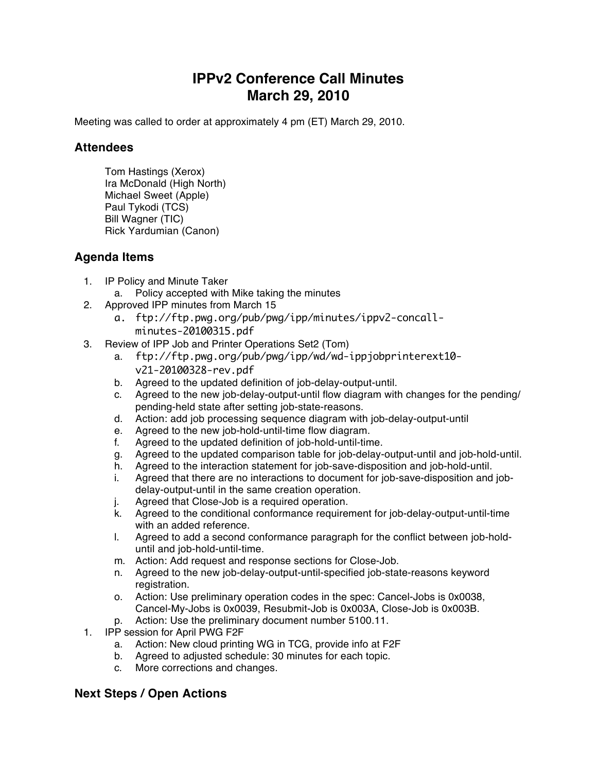## **IPPv2 Conference Call Minutes March 29, 2010**

Meeting was called to order at approximately 4 pm (ET) March 29, 2010.

## **Attendees**

Tom Hastings (Xerox) Ira McDonald (High North) Michael Sweet (Apple) Paul Tykodi (TCS) Bill Wagner (TIC) Rick Yardumian (Canon)

## **Agenda Items**

- 1. IP Policy and Minute Taker
	- a. Policy accepted with Mike taking the minutes
- 2. Approved IPP minutes from March 15
	- a. ftp://ftp.pwg.org/pub/pwg/ipp/minutes/ippv2-concallminutes-20100315.pdf
- 3. Review of IPP Job and Printer Operations Set2 (Tom)
	- a. ftp://ftp.pwg.org/pub/pwg/ipp/wd/wd-ippjobprinterext10 v21-20100328-rev.pdf
	- b. Agreed to the updated definition of job-delay-output-until.
	- c. Agreed to the new job-delay-output-until flow diagram with changes for the pending/ pending-held state after setting job-state-reasons.
	- d. Action: add job processing sequence diagram with job-delay-output-until
	- e. Agreed to the new job-hold-until-time flow diagram.
	- f. Agreed to the updated definition of job-hold-until-time.
	- g. Agreed to the updated comparison table for job-delay-output-until and job-hold-until.
	- h. Agreed to the interaction statement for job-save-disposition and job-hold-until.
	- i. Agreed that there are no interactions to document for job-save-disposition and jobdelay-output-until in the same creation operation.
	- j. Agreed that Close-Job is a required operation.
	- k. Agreed to the conditional conformance requirement for job-delay-output-until-time with an added reference.
	- l. Agreed to add a second conformance paragraph for the conflict between job-holduntil and job-hold-until-time.
	- m. Action: Add request and response sections for Close-Job.
	- n. Agreed to the new job-delay-output-until-specified job-state-reasons keyword registration.
	- o. Action: Use preliminary operation codes in the spec: Cancel-Jobs is 0x0038, Cancel-My-Jobs is 0x0039, Resubmit-Job is 0x003A, Close-Job is 0x003B.
	- p. Action: Use the preliminary document number 5100.11.
- 1. IPP session for April PWG F2F
	- a. Action: New cloud printing WG in TCG, provide info at F2F
	- b. Agreed to adjusted schedule: 30 minutes for each topic.
	- c. More corrections and changes.

## **Next Steps / Open Actions**